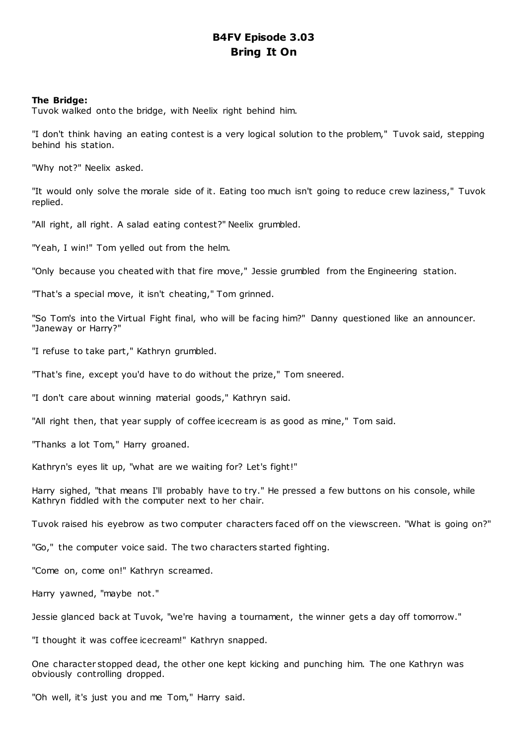# **B4FV Episode 3.03 Bring It On**

## **The Bridge:**

Tuvok walked onto the bridge, with Neelix right behind him.

"I don't think having an eating contest is a very logical solution to the problem," Tuvok said, stepping behind his station.

"Why not?" Neelix asked.

"It would only solve the morale side of it. Eating too much isn't going to reduce crew laziness," Tuvok replied.

"All right, all right. A salad eating contest?" Neelix grumbled.

"Yeah, I win!" Tom yelled out from the helm.

"Only because you cheated with that fire move," Jessie grumbled from the Engineering station.

"That's a special move, it isn't cheating," Tom grinned.

"So Tom's into the Virtual Fight final, who will be facing him?" Danny questioned like an announcer. "Janeway or Harry?"

"I refuse to take part," Kathryn grumbled.

"That's fine, except you'd have to do without the prize," Tom sneered.

"I don't care about winning material goods," Kathryn said.

"All right then, that year supply of coffee icecream is as good as mine," Tom said.

"Thanks a lot Tom," Harry groaned.

Kathryn's eyes lit up, "what are we waiting for? Let's fight!"

Harry sighed, "that means I'll probably have to try." He pressed a few buttons on his console, while Kathryn fiddled with the computer next to her chair.

Tuvok raised his eyebrow as two computer characters faced off on the viewscreen. "What is going on?"

"Go," the computer voice said. The two characters started fighting.

"Come on, come on!" Kathryn screamed.

Harry yawned, "maybe not."

Jessie glanced back at Tuvok, "we're having a tournament, the winner gets a day off tomorrow."

"I thought it was coffee icecream!" Kathryn snapped.

One character stopped dead, the other one kept kicking and punching him. The one Kathryn was obviously controlling dropped.

"Oh well, it's just you and me Tom," Harry said.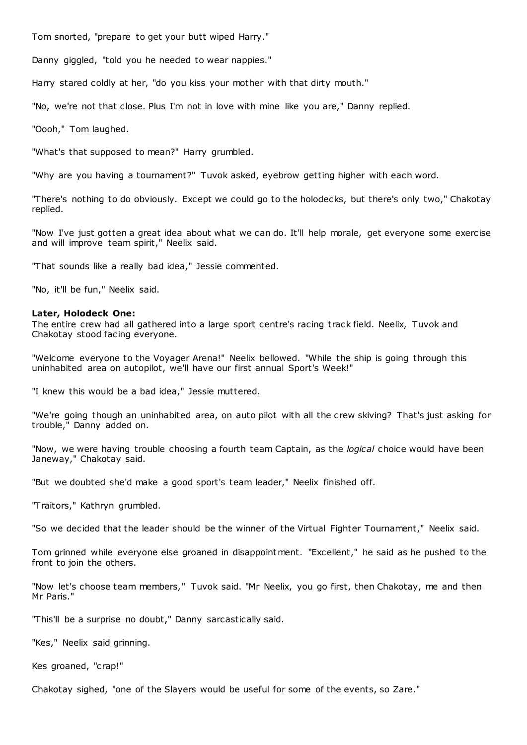Tom snorted, "prepare to get your butt wiped Harry."

Danny giggled, "told you he needed to wear nappies."

Harry stared coldly at her, "do you kiss your mother with that dirty mouth."

"No, we're not that close. Plus I'm not in love with mine like you are," Danny replied.

"Oooh," Tom laughed.

"What's that supposed to mean?" Harry grumbled.

"Why are you having a tournament?" Tuvok asked, eyebrow getting higher with each word.

"There's nothing to do obviously. Except we could go to the holodecks, but there's only two," Chakotay replied.

"Now I've just gotten a great idea about what we can do. It'll help morale, get everyone some exercise and will improve team spirit," Neelix said.

"That sounds like a really bad idea," Jessie commented.

"No, it'll be fun," Neelix said.

# **Later, Holodeck One:**

The entire crew had all gathered into a large sport centre's racing track field. Neelix, Tuvok and Chakotay stood facing everyone.

"Welcome everyone to the Voyager Arena!" Neelix bellowed. "While the ship is going through this uninhabited area on autopilot, we'll have our first annual Sport's Week!"

"I knew this would be a bad idea," Jessie muttered.

"We're going though an uninhabited area, on auto pilot with all the crew skiving? That's just asking for trouble," Danny added on.

"Now, we were having trouble choosing a fourth team Captain, as the *logical* choice would have been Janeway," Chakotay said.

"But we doubted she'd make a good sport's team leader," Neelix finished off.

"Traitors," Kathryn grumbled.

"So we decided that the leader should be the winner of the Virtual Fighter Tournament," Neelix said.

Tom grinned while everyone else groaned in disappointment. "Excellent," he said as he pushed to the front to join the others.

"Now let's choose team members," Tuvok said. "Mr Neelix, you go first, then Chakotay, me and then Mr Paris."

"This'll be a surprise no doubt," Danny sarcastically said.

"Kes," Neelix said grinning.

Kes groaned, "crap!"

Chakotay sighed, "one of the Slayers would be useful for some of the events, so Zare."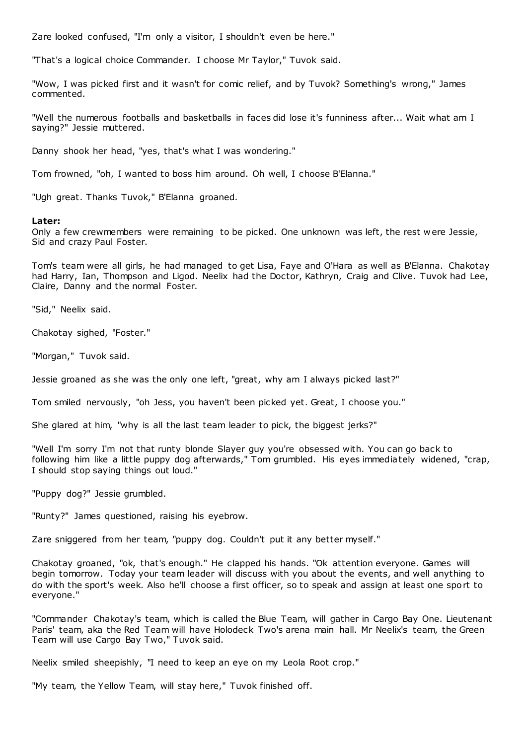Zare looked confused, "I'm only a visitor, I shouldn't even be here."

"That's a logical choice Commander. I choose Mr Taylor," Tuvok said.

"Wow, I was picked first and it wasn't for comic relief, and by Tuvok? Something's wrong," James commented.

"Well the numerous footballs and basketballs in faces did lose it's funniness after... Wait what am I saying?" Jessie muttered.

Danny shook her head, "yes, that's what I was wondering."

Tom frowned, "oh, I wanted to boss him around. Oh well, I choose B'Elanna."

"Ugh great. Thanks Tuvok," B'Elanna groaned.

#### **Later:**

Only a few crewmembers were remaining to be picked. One unknown was left, the rest w ere Jessie, Sid and crazy Paul Foster.

Tom's team were all girls, he had managed to get Lisa, Faye and O'Hara as well as B'Elanna. Chakotay had Harry, Ian, Thompson and Ligod. Neelix had the Doctor, Kathryn, Craig and Clive. Tuvok had Lee, Claire, Danny and the normal Foster.

"Sid," Neelix said.

Chakotay sighed, "Foster."

"Morgan," Tuvok said.

Jessie groaned as she was the only one left, "great, why am I always picked last?"

Tom smiled nervously, "oh Jess, you haven't been picked yet. Great, I choose you."

She glared at him, "why is all the last team leader to pick, the biggest jerks?"

"Well I'm sorry I'm not that runty blonde Slayer guy you're obsessed with. You can go back to following him like a little puppy dog afterwards," Tom grumbled. His eyes immediately widened, "crap, I should stop saying things out loud."

"Puppy dog?" Jessie grumbled.

"Runty?" James questioned, raising his eyebrow.

Zare sniggered from her team, "puppy dog. Couldn't put it any better myself."

Chakotay groaned, "ok, that's enough." He clapped his hands. "Ok attention everyone. Games will begin tomorrow. Today your team leader will discuss with you about the events, and well anything to do with the sport's week. Also he'll choose a first officer, so to speak and assign at least one sport to everyone."

"Commander Chakotay's team, which is called the Blue Team, will gather in Cargo Bay One. Lieutenant Paris' team, aka the Red Team will have Holodeck Two's arena main hall. Mr Neelix's team, the Green Team will use Cargo Bay Two," Tuvok said.

Neelix smiled sheepishly, "I need to keep an eye on my Leola Root crop."

"My team, the Yellow Team, will stay here," Tuvok finished off.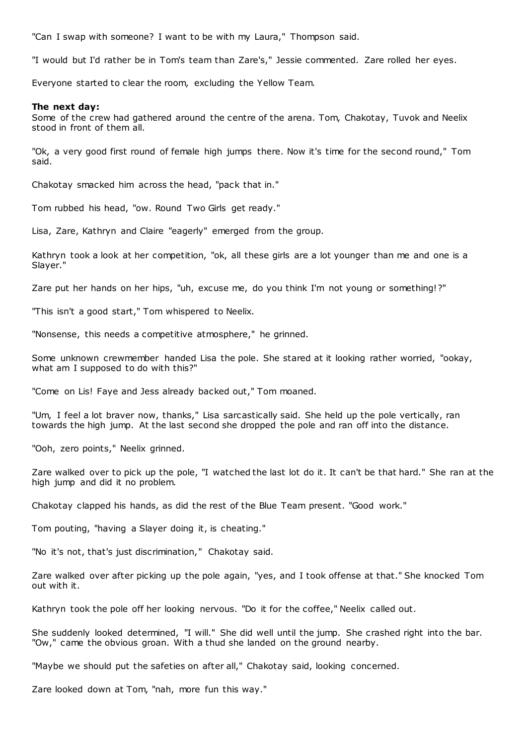"Can I swap with someone? I want to be with my Laura," Thompson said.

"I would but I'd rather be in Tom's team than Zare's," Jessie commented. Zare rolled her eyes.

Everyone started to clear the room, excluding the Yellow Team.

#### **The next day:**

Some of the crew had gathered around the centre of the arena. Tom, Chakotay, Tuvok and Neelix stood in front of them all.

"Ok, a very good first round of female high jumps there. Now it's time for the second round," Tom said.

Chakotay smacked him across the head, "pack that in."

Tom rubbed his head, "ow. Round Two Girls get ready."

Lisa, Zare, Kathryn and Claire "eagerly" emerged from the group.

Kathryn took a look at her competition, "ok, all these girls are a lot younger than me and one is a Slayer."

Zare put her hands on her hips, "uh, excuse me, do you think I'm not young or something!?"

"This isn't a good start," Tom whispered to Neelix.

"Nonsense, this needs a competitive atmosphere," he grinned.

Some unknown crewmember handed Lisa the pole. She stared at it looking rather worried, "ookay, what am I supposed to do with this?"

"Come on Lis! Faye and Jess already backed out," Tom moaned.

"Um, I feel a lot braver now, thanks," Lisa sarcastically said. She held up the pole vertically, ran towards the high jump. At the last second she dropped the pole and ran off into the distance.

"Ooh, zero points," Neelix grinned.

Zare walked over to pick up the pole, "I watched the last lot do it. It can't be that hard." She ran at the high jump and did it no problem.

Chakotay clapped his hands, as did the rest of the Blue Team present. "Good work."

Tom pouting, "having a Slayer doing it, is cheating."

"No it's not, that's just discrimination," Chakotay said.

Zare walked over after picking up the pole again, "yes, and I took offense at that." She knocked Tom out with it.

Kathryn took the pole off her looking nervous. "Do it for the coffee," Neelix called out.

She suddenly looked determined, "I will." She did well until the jump. She crashed right into the bar. "Ow," came the obvious groan. With a thud she landed on the ground nearby.

"Maybe we should put the safeties on after all," Chakotay said, looking concerned.

Zare looked down at Tom, "nah, more fun this way."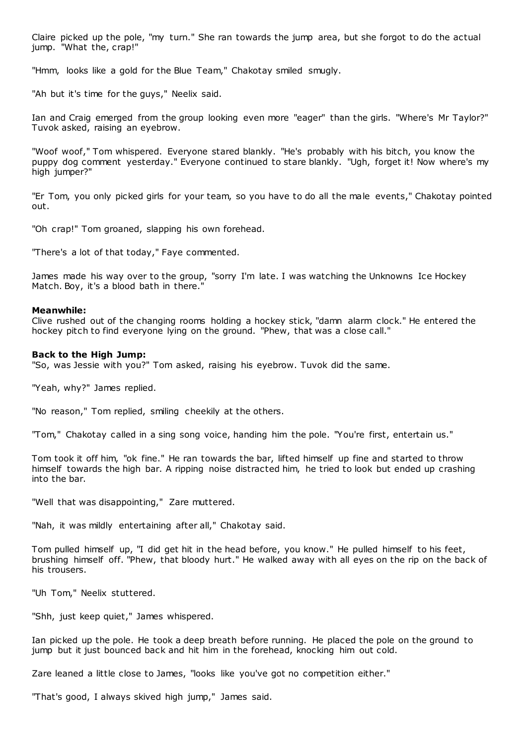Claire picked up the pole, "my turn." She ran towards the jump area, but she forgot to do the actual jump. "What the, crap!"

"Hmm, looks like a gold for the Blue Team," Chakotay smiled smugly.

"Ah but it's time for the guys," Neelix said.

Ian and Craig emerged from the group looking even more "eager" than the girls. "Where's Mr Taylor?" Tuvok asked, raising an eyebrow.

"Woof woof," Tom whispered. Everyone stared blankly. "He's probably with his bitch, you know the puppy dog comment yesterday." Everyone continued to stare blankly. "Ugh, forget it! Now where's my high jumper?"

"Er Tom, you only picked girls for your team, so you have to do all the male events," Chakotay pointed out.

"Oh crap!" Tom groaned, slapping his own forehead.

"There's a lot of that today," Faye commented.

James made his way over to the group, "sorry I'm late. I was watching the Unknowns Ice Hockey Match. Boy, it's a blood bath in there."

#### **Meanwhile:**

Clive rushed out of the changing rooms holding a hockey stick, "damn alarm clock." He entered the hockey pitch to find everyone lying on the ground. "Phew, that was a close call."

#### **Back to the High Jump:**

"So, was Jessie with you?" Tom asked, raising his eyebrow. Tuvok did the same.

"Yeah, why?" James replied.

"No reason," Tom replied, smiling cheekily at the others.

"Tom," Chakotay called in a sing song voice, handing him the pole. "You're first, entertain us."

Tom took it off him, "ok fine." He ran towards the bar, lifted himself up fine and started to throw himself towards the high bar. A ripping noise distracted him, he tried to look but ended up crashing into the bar.

"Well that was disappointing," Zare muttered.

"Nah, it was mildly entertaining after all," Chakotay said.

Tom pulled himself up, "I did get hit in the head before, you know." He pulled himself to his feet, brushing himself off. "Phew, that bloody hurt." He walked away with all eyes on the rip on the back of his trousers.

"Uh Tom," Neelix stuttered.

"Shh, just keep quiet," James whispered.

Ian picked up the pole. He took a deep breath before running. He placed the pole on the ground to jump but it just bounced back and hit him in the forehead, knocking him out cold.

Zare leaned a little close to James, "looks like you've got no competition either."

"That's good, I always skived high jump," James said.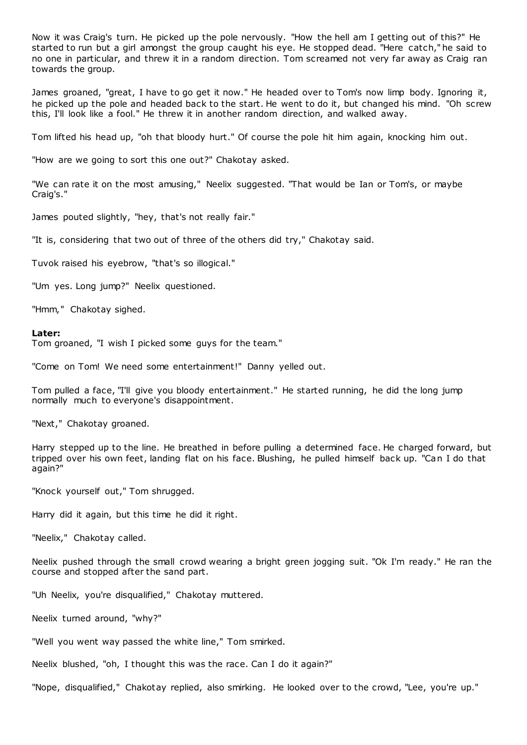Now it was Craig's turn. He picked up the pole nervously. "How the hell am I getting out of this?" He started to run but a girl amongst the group caught his eye. He stopped dead. "Here catch," he said to no one in particular, and threw it in a random direction. Tom screamed not very far away as Craig ran towards the group.

James groaned, "great, I have to go get it now." He headed over to Tom's now limp body. Ignoring it, he picked up the pole and headed back to the start. He went to do it, but changed his mind. "Oh screw this, I'll look like a fool." He threw it in another random direction, and walked away.

Tom lifted his head up, "oh that bloody hurt." Of course the pole hit him again, knocking him out.

"How are we going to sort this one out?" Chakotay asked.

"We can rate it on the most amusing," Neelix suggested. "That would be Ian or Tom's, or maybe Craig's."

James pouted slightly, "hey, that's not really fair."

"It is, considering that two out of three of the others did try," Chakotay said.

Tuvok raised his eyebrow, "that's so illogical."

"Um yes. Long jump?" Neelix questioned.

"Hmm," Chakotay sighed.

#### **Later:**

Tom groaned, "I wish I picked some guys for the team."

"Come on Tom! We need some entertainment!" Danny yelled out.

Tom pulled a face, "I'll give you bloody entertainment." He started running, he did the long jump normally much to everyone's disappointment.

"Next," Chakotay groaned.

Harry stepped up to the line. He breathed in before pulling a determined face. He charged forward, but tripped over his own feet, landing flat on his face. Blushing, he pulled himself back up. "Can I do that again?"

"Knock yourself out," Tom shrugged.

Harry did it again, but this time he did it right.

"Neelix," Chakotay called.

Neelix pushed through the small crowd wearing a bright green jogging suit. "Ok I'm ready." He ran the course and stopped after the sand part.

"Uh Neelix, you're disqualified," Chakotay muttered.

Neelix turned around, "why?"

"Well you went way passed the white line," Tom smirked.

Neelix blushed, "oh, I thought this was the race. Can I do it again?"

"Nope, disqualified," Chakotay replied, also smirking. He looked over to the crowd, "Lee, you're up."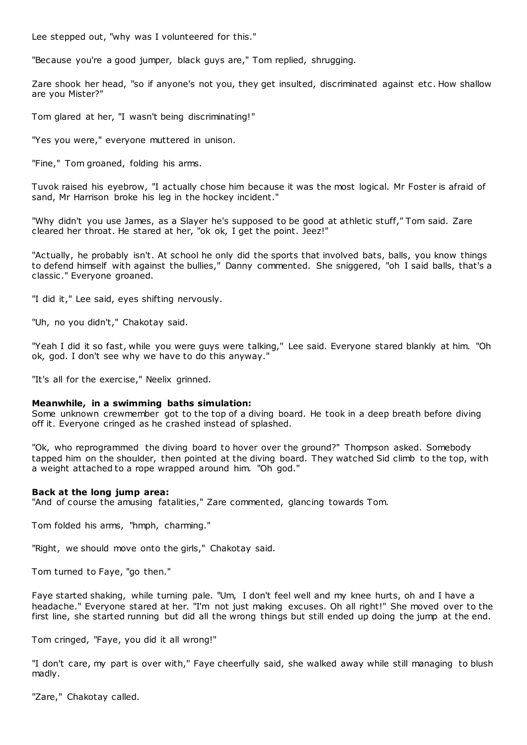Lee stepped out, "why was I volunteered for this."

"Because you're a good jumper, black guys are," Tom replied, shrugging.

Zare shook her head, "so if anyone's not you, they get insulted, discriminated against etc . How shallow are you Mister?"

Tom glared at her, "I wasn't being discriminating!"

"Yes you were," everyone muttered in unison.

"Fine," Tom groaned, folding his arms.

Tuvok raised his eyebrow, "I actually chose him because it was the most logical. Mr Foster is afraid of sand, Mr Harrison broke his leg in the hockey incident."

"Why didn't you use James, as a Slayer he's supposed to be good at athletic stuff," Tom said. Zare cleared her throat. He stared at her, "ok ok, I get the point. Jeez!"

"Actually, he probably isn't. At school he only did the sports that involved bats, balls, you know things to defend himself with against the bullies," Danny commented. She sniggered, "oh I said balls, that's a classic ." Everyone groaned.

"I did it," Lee said, eyes shifting nervously.

"Uh, no you didn't," Chakotay said.

"Yeah I did it so fast, while you were guys were talking," Lee said. Everyone stared blankly at him. "Oh ok, god. I don't see why we have to do this anyway."

"It's all for the exercise," Neelix grinned.

# **Meanwhile, in a swimming baths simulation:**

Some unknown crewmember got to the top of a diving board. He took in a deep breath before diving off it. Everyone cringed as he crashed instead of splashed.

"Ok, who reprogrammed the diving board to hover over the ground?" Thompson asked. Somebody tapped him on the shoulder, then pointed at the diving board. They watched Sid climb to the top, with a weight attached to a rope wrapped around him. "Oh god."

# **Back at the long jump area:**

"And of course the amusing fatalities," Zare commented, glancing towards Tom.

Tom folded his arms, "hmph, charming."

"Right, we should move onto the girls," Chakotay said.

Tom turned to Faye, "go then."

Faye started shaking, while turning pale. "Um, I don't feel well and my knee hurts, oh and I have a headache." Everyone stared at her. "I'm not just making excuses. Oh all right!" She moved over to the first line, she started running but did all the wrong things but still ended up doing the jump at the end.

Tom cringed, "Faye, you did it all wrong!"

"I don't care, my part is over with," Faye cheerfully said, she walked away while still managing to blush madly.

"Zare," Chakotay called.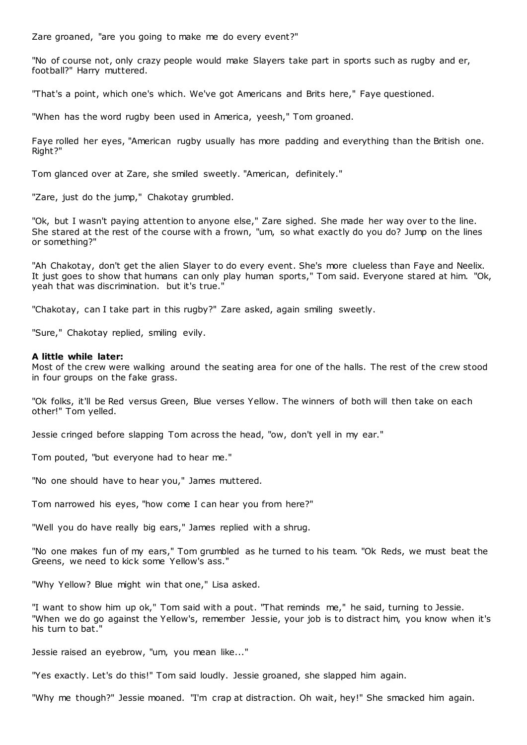Zare groaned, "are you going to make me do every event?"

"No of course not, only crazy people would make Slayers take part in sports such as rugby and er, football?" Harry muttered.

"That's a point, which one's which. We've got Americans and Brits here," Faye questioned.

"When has the word rugby been used in America, yeesh," Tom groaned.

Faye rolled her eyes, "American rugby usually has more padding and everything than the British one. Right?"

Tom glanced over at Zare, she smiled sweetly. "American, definitely."

"Zare, just do the jump," Chakotay grumbled.

"Ok, but I wasn't paying attention to anyone else," Zare sighed. She made her way over to the line. She stared at the rest of the course with a frown, "um, so what exactly do you do? Jump on the lines or something?"

"Ah Chakotay, don't get the alien Slayer to do every event. She's more clueless than Faye and Neelix. It just goes to show that humans can only play human sports," Tom said. Everyone stared at him. "Ok, yeah that was discrimination. but it's true."

"Chakotay, can I take part in this rugby?" Zare asked, again smiling sweetly.

"Sure," Chakotay replied, smiling evily.

#### **A little while later:**

Most of the crew were walking around the seating area for one of the halls. The rest of the crew stood in four groups on the fake grass.

"Ok folks, it'll be Red versus Green, Blue verses Yellow. The winners of both will then take on each other!" Tom yelled.

Jessie cringed before slapping Tom across the head, "ow, don't yell in my ear."

Tom pouted, "but everyone had to hear me."

"No one should have to hear you," James muttered.

Tom narrowed his eyes, "how come I can hear you from here?"

"Well you do have really big ears," James replied with a shrug.

"No one makes fun of my ears," Tom grumbled as he turned to his team. "Ok Reds, we must beat the Greens, we need to kick some Yellow's ass."

"Why Yellow? Blue might win that one," Lisa asked.

"I want to show him up ok," Tom said with a pout. "That reminds me," he said, turning to Jessie. "When we do go against the Yellow's, remember Jessie, your job is to distract him, you know when it's his turn to bat."

Jessie raised an eyebrow, "um, you mean like..."

"Yes exactly. Let's do this!" Tom said loudly. Jessie groaned, she slapped him again.

"Why me though?" Jessie moaned. "I'm crap at distraction. Oh wait, hey!" She smacked him again.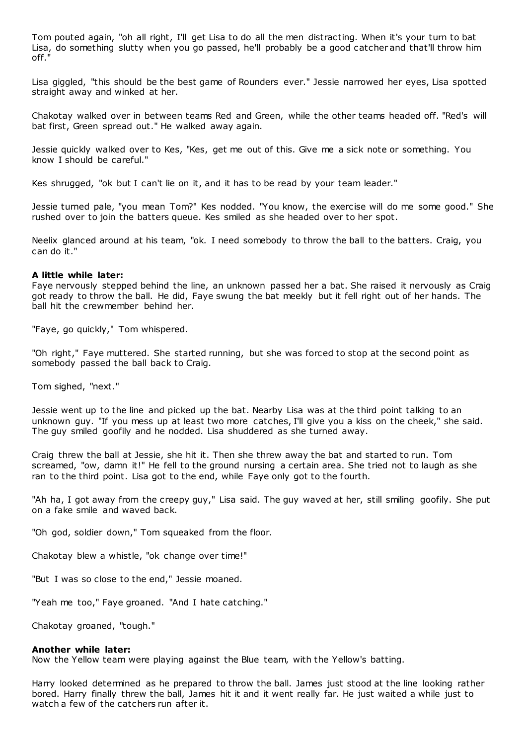Tom pouted again, "oh all right, I'll get Lisa to do all the men distracting. When it's your turn to bat Lisa, do something slutty when you go passed, he'll probably be a good catcher and that'll throw him off."

Lisa giggled, "this should be the best game of Rounders ever." Jessie narrowed her eyes, Lisa spotted straight away and winked at her.

Chakotay walked over in between teams Red and Green, while the other teams headed off. "Red's will bat first, Green spread out." He walked away again.

Jessie quickly walked over to Kes, "Kes, get me out of this. Give me a sick note or something. You know I should be careful."

Kes shrugged, "ok but I can't lie on it, and it has to be read by your team leader."

Jessie turned pale, "you mean Tom?" Kes nodded. "You know, the exercise will do me some good." She rushed over to join the batters queue. Kes smiled as she headed over to her spot.

Neelix glanced around at his team, "ok. I need somebody to throw the ball to the batters. Craig, you can do it."

### **A little while later:**

Faye nervously stepped behind the line, an unknown passed her a bat. She raised it nervously as Craig got ready to throw the ball. He did, Faye swung the bat meekly but it fell right out of her hands. The ball hit the crewmember behind her.

"Faye, go quickly," Tom whispered.

"Oh right," Faye muttered. She started running, but she was forced to stop at the second point as somebody passed the ball back to Craig.

Tom sighed, "next."

Jessie went up to the line and picked up the bat. Nearby Lisa was at the third point talking to an unknown guy. "If you mess up at least two more catches, I'll give you a kiss on the cheek," she said. The guy smiled goofily and he nodded. Lisa shuddered as she turned away.

Craig threw the ball at Jessie, she hit it. Then she threw away the bat and started to run. Tom screamed, "ow, damn it!" He fell to the ground nursing a certain area. She tried not to laugh as she ran to the third point. Lisa got to the end, while Faye only got to the fourth.

"Ah ha, I got away from the creepy guy," Lisa said. The guy waved at her, still smiling goofily. She put on a fake smile and waved back.

"Oh god, soldier down," Tom squeaked from the floor.

Chakotay blew a whistle, "ok change over time!"

"But I was so close to the end," Jessie moaned.

"Yeah me too," Faye groaned. "And I hate catching."

Chakotay groaned, "tough."

#### **Another while later:**

Now the Yellow team were playing against the Blue team, with the Yellow's batting.

Harry looked determined as he prepared to throw the ball. James just stood at the line looking rather bored. Harry finally threw the ball, James hit it and it went really far. He just waited a while just to watch a few of the catchers run after it.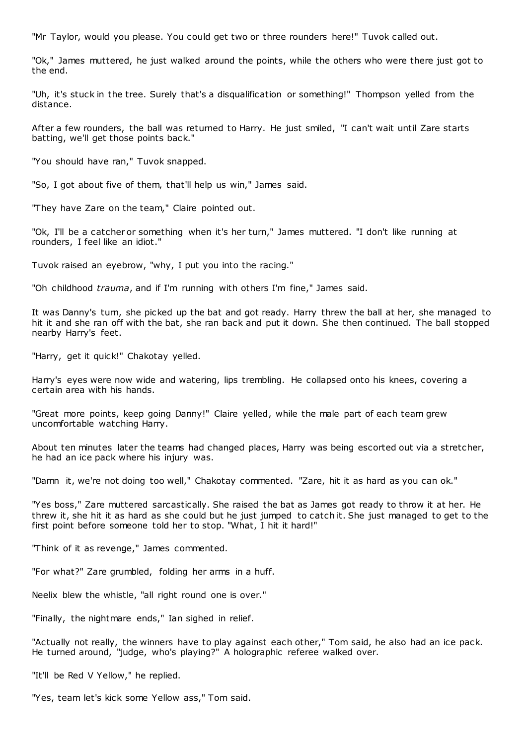"Mr Taylor, would you please. You could get two or three rounders here!" Tuvok called out.

"Ok," James muttered, he just walked around the points, while the others who were there just got to the end.

"Uh, it's stuck in the tree. Surely that's a disqualification or something!" Thompson yelled from the distance.

After a few rounders, the ball was returned to Harry. He just smiled, "I can't wait until Zare starts batting, we'll get those points back."

"You should have ran," Tuvok snapped.

"So, I got about five of them, that'll help us win," James said.

"They have Zare on the team," Claire pointed out.

"Ok, I'll be a catcher or something when it's her turn," James muttered. "I don't like running at rounders, I feel like an idiot."

Tuvok raised an eyebrow, "why, I put you into the racing."

"Oh childhood *trauma*, and if I'm running with others I'm fine," James said.

It was Danny's turn, she picked up the bat and got ready. Harry threw the ball at her, she managed to hit it and she ran off with the bat, she ran back and put it down. She then continued. The ball stopped nearby Harry's feet.

"Harry, get it quick!" Chakotay yelled.

Harry's eyes were now wide and watering, lips trembling. He collapsed onto his knees, covering a certain area with his hands.

"Great more points, keep going Danny!" Claire yelled, while the male part of each team grew uncomfortable watching Harry.

About ten minutes later the teams had changed places, Harry was being escorted out via a stretcher, he had an ice pack where his injury was.

"Damn it, we're not doing too well," Chakotay commented. "Zare, hit it as hard as you can ok."

"Yes boss," Zare muttered sarcastically. She raised the bat as James got ready to throw it at her. He threw it, she hit it as hard as she could but he just jumped to catch it. She just managed to get to the first point before someone told her to stop. "What, I hit it hard!"

"Think of it as revenge," James commented.

"For what?" Zare grumbled, folding her arms in a huff.

Neelix blew the whistle, "all right round one is over."

"Finally, the nightmare ends," Ian sighed in relief.

"Actually not really, the winners have to play against each other," Tom said, he also had an ice pack. He turned around, "judge, who's playing?" A holographic referee walked over.

"It'll be Red V Yellow," he replied.

"Yes, team let's kick some Yellow ass," Tom said.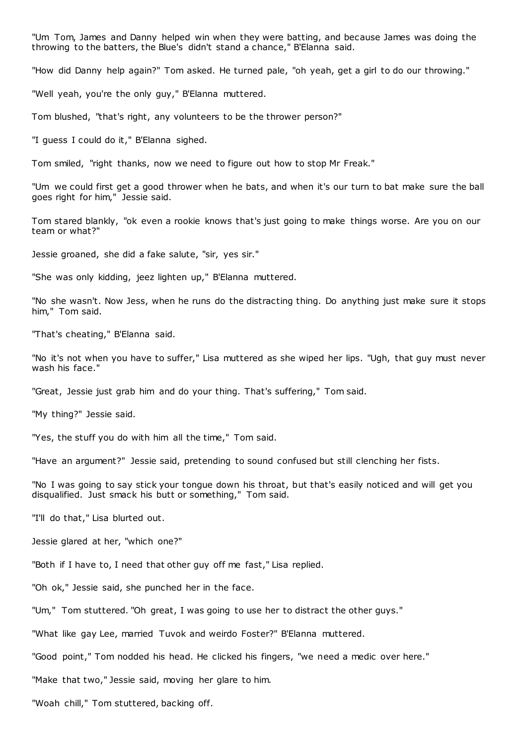"Um Tom, James and Danny helped win when they were batting, and because James was doing the throwing to the batters, the Blue's didn't stand a chance," B'Elanna said.

"How did Danny help again?" Tom asked. He turned pale, "oh yeah, get a girl to do our throwing."

"Well yeah, you're the only guy," B'Elanna muttered.

Tom blushed, "that's right, any volunteers to be the thrower person?"

"I guess I could do it," B'Elanna sighed.

Tom smiled, "right thanks, now we need to figure out how to stop Mr Freak."

"Um we could first get a good thrower when he bats, and when it's our turn to bat make sure the ball goes right for him," Jessie said.

Tom stared blankly, "ok even a rookie knows that's just going to make things worse. Are you on our team or what?"

Jessie groaned, she did a fake salute, "sir, yes sir."

"She was only kidding, jeez lighten up," B'Elanna muttered.

"No she wasn't. Now Jess, when he runs do the distracting thing. Do anything just make sure it stops him," Tom said.

"That's cheating," B'Elanna said.

"No it's not when you have to suffer," Lisa muttered as she wiped her lips. "Ugh, that guy must never wash his face."

"Great, Jessie just grab him and do your thing. That's suffering," Tom said.

"My thing?" Jessie said.

"Yes, the stuff you do with him all the time," Tom said.

"Have an argument?" Jessie said, pretending to sound confused but still clenching her fists.

"No I was going to say stick your tongue down his throat, but that's easily noticed and will get you disqualified. Just smack his butt or something," Tom said.

"I'll do that," Lisa blurted out.

Jessie glared at her, "which one?"

"Both if I have to, I need that other guy off me fast," Lisa replied.

"Oh ok," Jessie said, she punched her in the face.

"Um," Tom stuttered. "Oh great, I was going to use her to distract the other guys."

"What like gay Lee, married Tuvok and weirdo Foster?" B'Elanna muttered.

"Good point," Tom nodded his head. He clicked his fingers, "we need a medic over here."

"Make that two," Jessie said, moving her glare to him.

"Woah chill," Tom stuttered, backing off.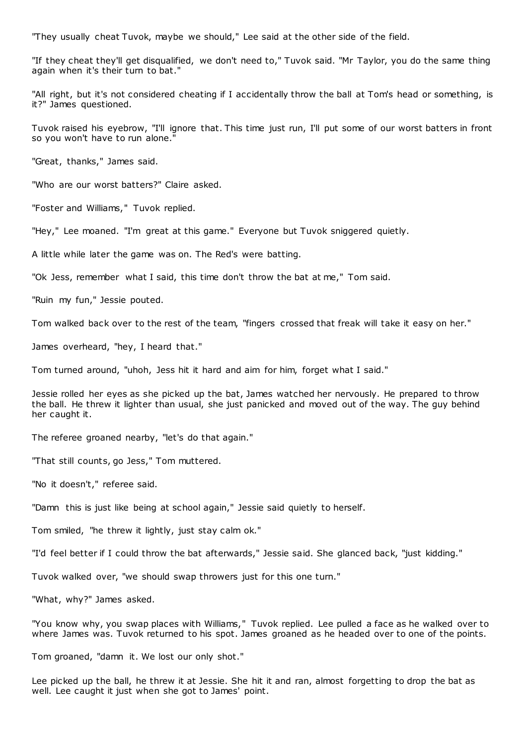"They usually cheat Tuvok, maybe we should," Lee said at the other side of the field.

"If they cheat they'll get disqualified, we don't need to," Tuvok said. "Mr Taylor, you do the same thing again when it's their turn to bat."

"All right, but it's not considered cheating if I accidentally throw the ball at Tom's head or something, is it?" James questioned.

Tuvok raised his eyebrow, "I'll ignore that. This time just run, I'll put some of our worst batters in front so you won't have to run alone."

"Great, thanks," James said.

"Who are our worst batters?" Claire asked.

"Foster and Williams," Tuvok replied.

"Hey," Lee moaned. "I'm great at this game." Everyone but Tuvok sniggered quietly.

A little while later the game was on. The Red's were batting.

"Ok Jess, remember what I said, this time don't throw the bat at me," Tom said.

"Ruin my fun," Jessie pouted.

Tom walked back over to the rest of the team, "fingers crossed that freak will take it easy on her."

James overheard, "hey, I heard that."

Tom turned around, "uhoh, Jess hit it hard and aim for him, forget what I said."

Jessie rolled her eyes as she picked up the bat, James watched her nervously. He prepared to throw the ball. He threw it lighter than usual, she just panicked and moved out of the way. The guy behind her caught it.

The referee groaned nearby, "let's do that again."

"That still counts, go Jess," Tom muttered.

"No it doesn't," referee said.

"Damn this is just like being at school again," Jessie said quietly to herself.

Tom smiled, "he threw it lightly, just stay calm ok."

"I'd feel better if I could throw the bat afterwards," Jessie said. She glanced back, "just kidding."

Tuvok walked over, "we should swap throwers just for this one turn."

"What, why?" James asked.

"You know why, you swap places with Williams," Tuvok replied. Lee pulled a face as he walked over to where James was. Tuvok returned to his spot. James groaned as he headed over to one of the points.

Tom groaned, "damn it. We lost our only shot."

Lee picked up the ball, he threw it at Jessie. She hit it and ran, almost forgetting to drop the bat as well. Lee caught it just when she got to James' point.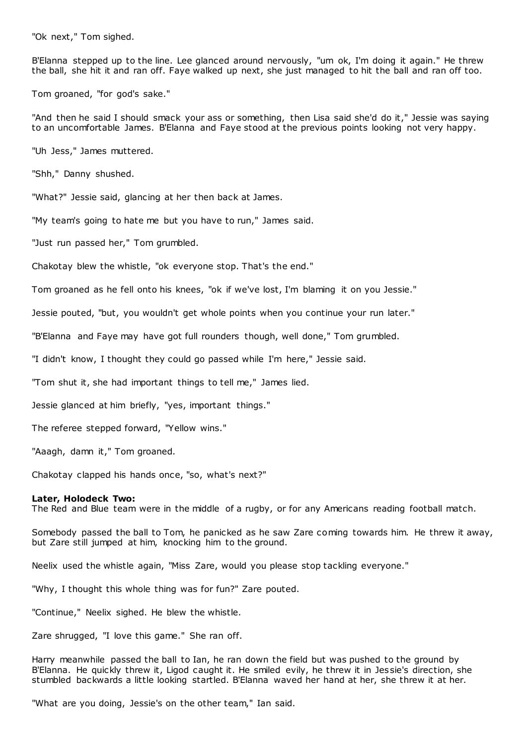"Ok next," Tom sighed.

B'Elanna stepped up to the line. Lee glanced around nervously, "um ok, I'm doing it again." He threw the ball, she hit it and ran off. Faye walked up next, she just managed to hit the ball and ran off too.

Tom groaned, "for god's sake."

"And then he said I should smack your ass or something, then Lisa said she'd do it," Jessie was saying to an uncomfortable James. B'Elanna and Faye stood at the previous points looking not very happy.

"Uh Jess," James muttered.

"Shh," Danny shushed.

"What?" Jessie said, glancing at her then back at James.

"My team's going to hate me but you have to run," James said.

"Just run passed her," Tom grumbled.

Chakotay blew the whistle, "ok everyone stop. That's the end."

Tom groaned as he fell onto his knees, "ok if we've lost, I'm blaming it on you Jessie."

Jessie pouted, "but, you wouldn't get whole points when you continue your run later."

"B'Elanna and Faye may have got full rounders though, well done," Tom grumbled.

"I didn't know, I thought they could go passed while I'm here," Jessie said.

"Tom shut it, she had important things to tell me," James lied.

Jessie glanced at him briefly, "yes, important things."

The referee stepped forward, "Yellow wins."

"Aaagh, damn it," Tom groaned.

Chakotay clapped his hands once, "so, what's next?"

#### **Later, Holodeck Two:**

The Red and Blue team were in the middle of a rugby, or for any Americans reading football match.

Somebody passed the ball to Tom, he panicked as he saw Zare coming towards him. He threw it away, but Zare still jumped at him, knocking him to the ground.

Neelix used the whistle again, "Miss Zare, would you please stop tackling everyone."

"Why, I thought this whole thing was for fun?" Zare pouted.

"Continue," Neelix sighed. He blew the whistle.

Zare shrugged, "I love this game." She ran off.

Harry meanwhile passed the ball to Ian, he ran down the field but was pushed to the ground by B'Elanna. He quickly threw it, Ligod caught it. He smiled evily, he threw it in Jessie's direction, she stumbled backwards a little looking startled. B'Elanna waved her hand at her, she threw it at her.

"What are you doing, Jessie's on the other team," Ian said.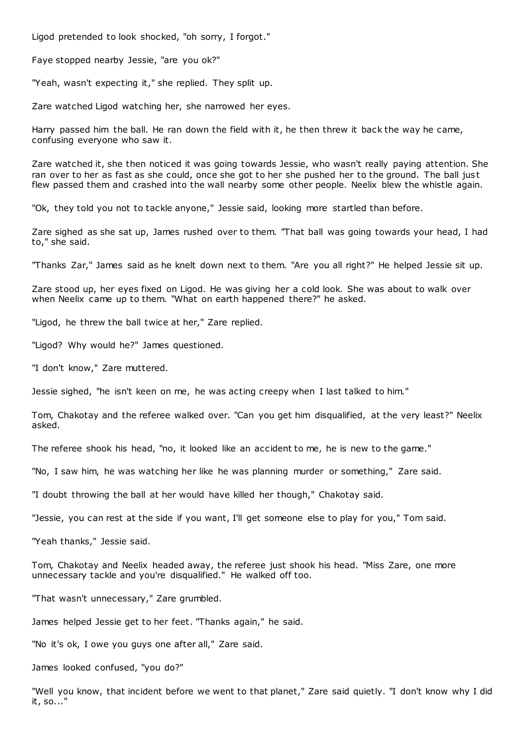Ligod pretended to look shocked, "oh sorry, I forgot."

Faye stopped nearby Jessie, "are you ok?"

"Yeah, wasn't expecting it," she replied. They split up.

Zare watched Ligod watching her, she narrowed her eyes.

Harry passed him the ball. He ran down the field with it, he then threw it back the way he came, confusing everyone who saw it.

Zare watched it, she then noticed it was going towards Jessie, who wasn't really paying attention. She ran over to her as fast as she could, once she got to her she pushed her to the ground. The ball just flew passed them and crashed into the wall nearby some other people. Neelix blew the whistle again.

"Ok, they told you not to tackle anyone," Jessie said, looking more startled than before.

Zare sighed as she sat up, James rushed over to them. "That ball was going towards your head, I had to," she said.

"Thanks Zar," James said as he knelt down next to them. "Are you all right?" He helped Jessie sit up.

Zare stood up, her eyes fixed on Ligod. He was giving her a cold look. She was about to walk over when Neelix came up to them. "What on earth happened there?" he asked.

"Ligod, he threw the ball twice at her," Zare replied.

"Ligod? Why would he?" James questioned.

"I don't know," Zare muttered.

Jessie sighed, "he isn't keen on me, he was acting creepy when I last talked to him."

Tom, Chakotay and the referee walked over. "Can you get him disqualified, at the very least?" Neelix asked.

The referee shook his head, "no, it looked like an accident to me, he is new to the game."

"No, I saw him, he was watching her like he was planning murder or something," Zare said.

"I doubt throwing the ball at her would have killed her though," Chakotay said.

"Jessie, you can rest at the side if you want, I'll get someone else to play for you," Tom said.

"Yeah thanks," Jessie said.

Tom, Chakotay and Neelix headed away, the referee just shook his head. "Miss Zare, one more unnecessary tackle and you're disqualified." He walked off too.

"That wasn't unnecessary," Zare grumbled.

James helped Jessie get to her feet. "Thanks again," he said.

"No it's ok, I owe you guys one after all," Zare said.

James looked confused, "you do?"

"Well you know, that incident before we went to that planet," Zare said quietly. "I don't know why I did it, so..."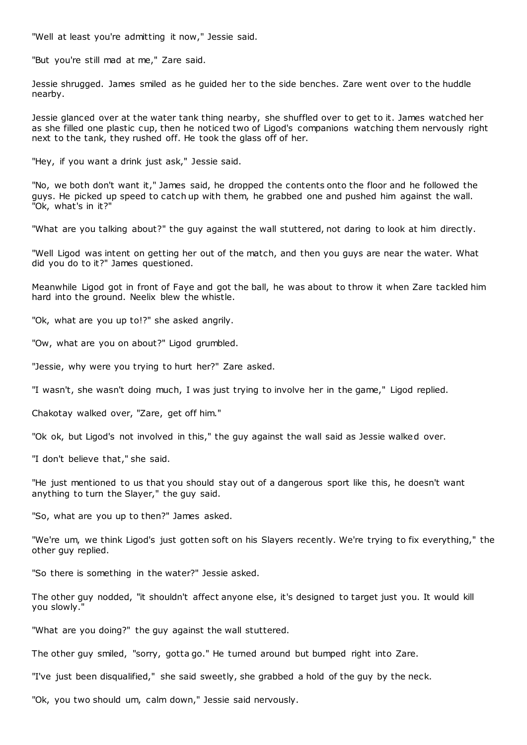"Well at least you're admitting it now," Jessie said.

"But you're still mad at me," Zare said.

Jessie shrugged. James smiled as he guided her to the side benches. Zare went over to the huddle nearby.

Jessie glanced over at the water tank thing nearby, she shuffled over to get to it. James watched her as she filled one plastic cup, then he noticed two of Ligod's companions watching them nervously right next to the tank, they rushed off. He took the glass off of her.

"Hey, if you want a drink just ask," Jessie said.

"No, we both don't want it," James said, he dropped the contents onto the floor and he followed the guys. He picked up speed to catch up with them, he grabbed one and pushed him against the wall. "Ok, what's in it?"

"What are you talking about?" the guy against the wall stuttered, not daring to look at him directly.

"Well Ligod was intent on getting her out of the match, and then you guys are near the water. What did you do to it?" James questioned.

Meanwhile Ligod got in front of Faye and got the ball, he was about to throw it when Zare tackled him hard into the ground. Neelix blew the whistle.

"Ok, what are you up to!?" she asked angrily.

"Ow, what are you on about?" Ligod grumbled.

"Jessie, why were you trying to hurt her?" Zare asked.

"I wasn't, she wasn't doing much, I was just trying to involve her in the game," Ligod replied.

Chakotay walked over, "Zare, get off him."

"Ok ok, but Ligod's not involved in this," the guy against the wall said as Jessie walked over.

"I don't believe that," she said.

"He just mentioned to us that you should stay out of a dangerous sport like this, he doesn't want anything to turn the Slayer," the guy said.

"So, what are you up to then?" James asked.

"We're um, we think Ligod's just gotten soft on his Slayers recently. We're trying to fix everything," the other guy replied.

"So there is something in the water?" Jessie asked.

The other guy nodded, "it shouldn't affect anyone else, it's designed to target just you. It would kill you slowly."

"What are you doing?" the guy against the wall stuttered.

The other guy smiled, "sorry, gotta go." He turned around but bumped right into Zare.

"I've just been disqualified," she said sweetly, she grabbed a hold of the guy by the neck.

"Ok, you two should um, calm down," Jessie said nervously.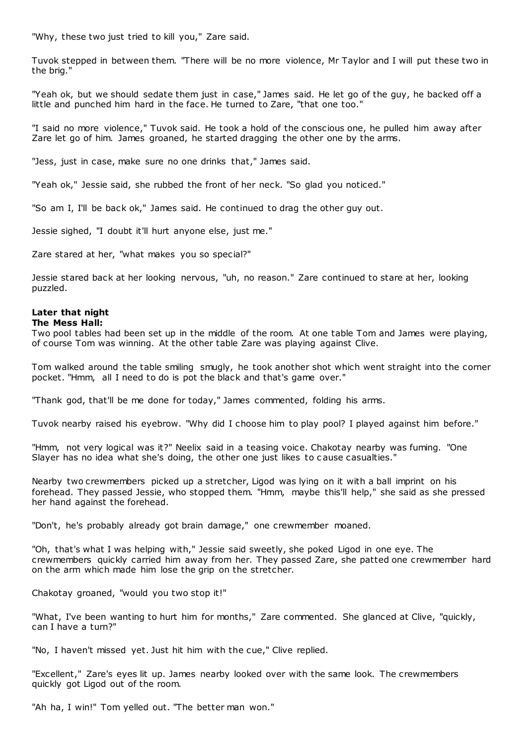"Why, these two just tried to kill you," Zare said.

Tuvok stepped in between them. "There will be no more violence, Mr Taylor and I will put these two in the brig."

"Yeah ok, but we should sedate them just in case," James said. He let go of the guy, he backed off a little and punched him hard in the face. He turned to Zare, "that one too."

"I said no more violence," Tuvok said. He took a hold of the conscious one, he pulled him away after Zare let go of him. James groaned, he started dragging the other one by the arms.

"Jess, just in case, make sure no one drinks that," James said.

"Yeah ok," Jessie said, she rubbed the front of her neck. "So glad you noticed."

"So am I, I'll be back ok," James said. He continued to drag the other guy out.

Jessie sighed, "I doubt it'll hurt anyone else, just me."

Zare stared at her, "what makes you so special?"

Jessie stared back at her looking nervous, "uh, no reason." Zare continued to stare at her, looking puzzled.

# **Later that night**

# **The Mess Hall:**

Two pool tables had been set up in the middle of the room. At one table Tom and James were playing, of course Tom was winning. At the other table Zare was playing against Clive.

Tom walked around the table smiling smugly, he took another shot which went straight into the corner pocket. "Hmm, all I need to do is pot the black and that's game over."

"Thank god, that'll be me done for today," James commented, folding his arms.

Tuvok nearby raised his eyebrow. "Why did I choose him to play pool? I played against him before."

"Hmm, not very logical was it?" Neelix said in a teasing voice. Chakotay nearby was fuming. "One Slayer has no idea what she's doing, the other one just likes to c ause casualties."

Nearby two crewmembers picked up a stretcher, Ligod was lying on it with a ball imprint on his forehead. They passed Jessie, who stopped them. "Hmm, maybe this'll help," she said as she pressed her hand against the forehead.

"Don't, he's probably already got brain damage," one crewmember moaned.

"Oh, that's what I was helping with," Jessie said sweetly, she poked Ligod in one eye. The crewmembers quickly carried him away from her. They passed Zare, she patted one crewmember hard on the arm which made him lose the grip on the stretcher.

Chakotay groaned, "would you two stop it!"

"What, I've been wanting to hurt him for months," Zare commented. She glanced at Clive, "quickly, can I have a turn?"

"No, I haven't missed yet. Just hit him with the cue," Clive replied.

"Excellent," Zare's eyes lit up. James nearby looked over with the same look. The crewmembers quickly got Ligod out of the room.

"Ah ha, I win!" Tom yelled out. "The better man won."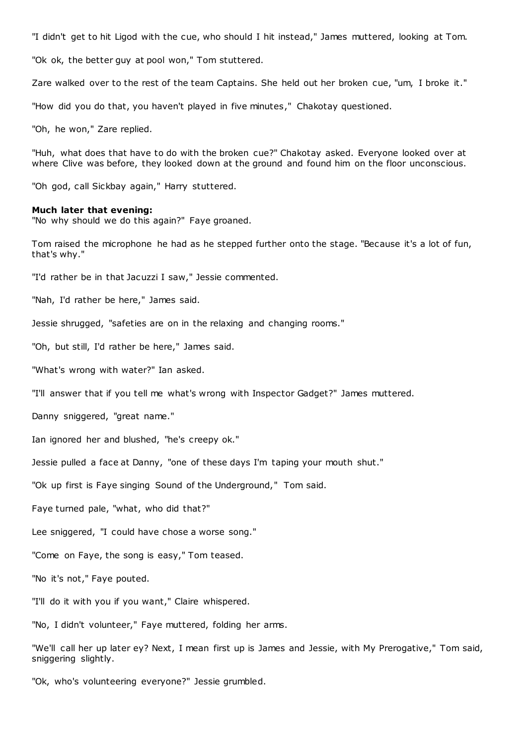"I didn't get to hit Ligod with the cue, who should I hit instead," James muttered, looking at Tom.

"Ok ok, the better guy at pool won," Tom stuttered.

Zare walked over to the rest of the team Captains. She held out her broken cue, "um, I broke it."

"How did you do that, you haven't played in five minutes," Chakotay questioned.

"Oh, he won," Zare replied.

"Huh, what does that have to do with the broken cue?" Chakotay asked. Everyone looked over at where Clive was before, they looked down at the ground and found him on the floor unconscious.

"Oh god, call Sickbay again," Harry stuttered.

#### **Much later that evening:**

"No why should we do this again?" Faye groaned.

Tom raised the microphone he had as he stepped further onto the stage. "Because it's a lot of fun, that's why."

"I'd rather be in that Jacuzzi I saw," Jessie commented.

"Nah, I'd rather be here," James said.

Jessie shrugged, "safeties are on in the relaxing and changing rooms."

"Oh, but still, I'd rather be here," James said.

"What's wrong with water?" Ian asked.

"I'll answer that if you tell me what's wrong with Inspector Gadget?" James muttered.

Danny sniggered, "great name."

Ian ignored her and blushed, "he's creepy ok."

Jessie pulled a face at Danny, "one of these days I'm taping your mouth shut."

"Ok up first is Faye singing Sound of the Underground," Tom said.

Faye turned pale, "what, who did that?"

Lee sniggered, "I could have chose a worse song."

"Come on Faye, the song is easy," Tom teased.

"No it's not," Faye pouted.

"I'll do it with you if you want," Claire whispered.

"No, I didn't volunteer," Faye muttered, folding her arms.

"We'll call her up later ey? Next, I mean first up is James and Jessie, with My Prerogative," Tom said, sniggering slightly.

"Ok, who's volunteering everyone?" Jessie grumbled.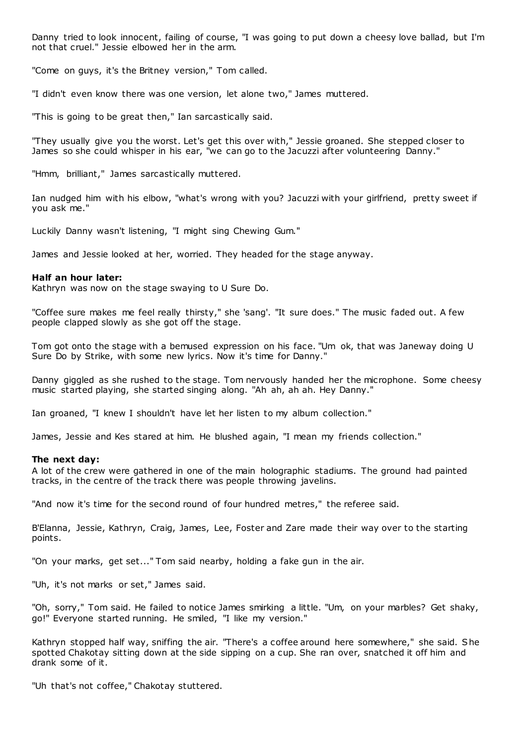Danny tried to look innocent, failing of course, "I was going to put down a cheesy love ballad, but I'm not that cruel." Jessie elbowed her in the arm.

"Come on guys, it's the Britney version," Tom called.

"I didn't even know there was one version, let alone two," James muttered.

"This is going to be great then," Ian sarcastically said.

"They usually give you the worst. Let's get this over with," Jessie groaned. She stepped closer to James so she could whisper in his ear, "we can go to the Jacuzzi after volunteering Danny."

"Hmm, brilliant," James sarcastically muttered.

Ian nudged him with his elbow, "what's wrong with you? Jacuzzi with your girlfriend, pretty sweet if you ask me."

Luckily Danny wasn't listening, "I might sing Chewing Gum."

James and Jessie looked at her, worried. They headed for the stage anyway.

# **Half an hour later:**

Kathryn was now on the stage swaying to U Sure Do.

"Coffee sure makes me feel really thirsty," she 'sang'. "It sure does." The music faded out. A few people clapped slowly as she got off the stage.

Tom got onto the stage with a bemused expression on his face. "Um ok, that was Janeway doing U Sure Do by Strike, with some new lyrics. Now it's time for Danny."

Danny giggled as she rushed to the stage. Tom nervously handed her the microphone. Some cheesy music started playing, she started singing along. "Ah ah, ah ah. Hey Danny."

Ian groaned, "I knew I shouldn't have let her listen to my album collection."

James, Jessie and Kes stared at him. He blushed again, "I mean my friends collection."

# **The next day:**

A lot of the crew were gathered in one of the main holographic stadiums. The ground had painted tracks, in the centre of the track there was people throwing javelins.

"And now it's time for the second round of four hundred metres," the referee said.

B'Elanna, Jessie, Kathryn, Craig, James, Lee, Foster and Zare made their way over to the starting points.

"On your marks, get set..." Tom said nearby, holding a fake gun in the air.

"Uh, it's not marks or set," James said.

"Oh, sorry," Tom said. He failed to notice James smirking a little. "Um, on your marbles? Get shaky, go!" Everyone started running. He smiled, "I like my version."

Kathryn stopped half way, sniffing the air. "There's a coffee around here somewhere," she said. She spotted Chakotay sitting down at the side sipping on a cup. She ran over, snatched it off him and drank some of it.

"Uh that's not coffee," Chakotay stuttered.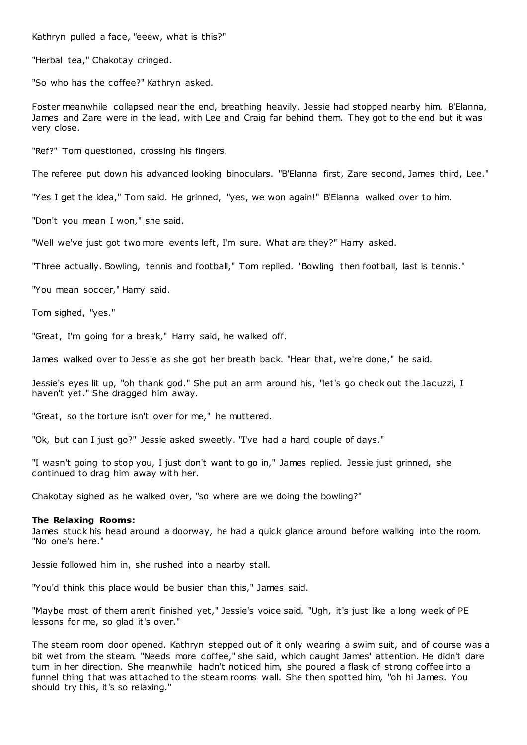Kathryn pulled a face, "eeew, what is this?"

"Herbal tea," Chakotay cringed.

"So who has the coffee?" Kathryn asked.

Foster meanwhile collapsed near the end, breathing heavily. Jessie had stopped nearby him. B'Elanna, James and Zare were in the lead, with Lee and Craig far behind them. They got to the end but it was very close.

"Ref?" Tom questioned, crossing his fingers.

The referee put down his advanced looking binoculars. "B'Elanna first, Zare second, James third, Lee."

"Yes I get the idea," Tom said. He grinned, "yes, we won again!" B'Elanna walked over to him.

"Don't you mean I won," she said.

"Well we've just got two more events left, I'm sure. What are they?" Harry asked.

"Three actually. Bowling, tennis and football," Tom replied. "Bowling then football, last is tennis."

"You mean soccer," Harry said.

Tom sighed, "yes."

"Great, I'm going for a break," Harry said, he walked off.

James walked over to Jessie as she got her breath back. "Hear that, we're done," he said.

Jessie's eyes lit up, "oh thank god." She put an arm around his, "let's go check out the Jacuzzi, I haven't yet." She dragged him away.

"Great, so the torture isn't over for me," he muttered.

"Ok, but can I just go?" Jessie asked sweetly. "I've had a hard couple of days."

"I wasn't going to stop you, I just don't want to go in," James replied. Jessie just grinned, she continued to drag him away with her.

Chakotay sighed as he walked over, "so where are we doing the bowling?"

#### **The Relaxing Rooms:**

James stuck his head around a doorway, he had a quick glance around before walking into the room. "No one's here."

Jessie followed him in, she rushed into a nearby stall.

"You'd think this place would be busier than this," James said.

"Maybe most of them aren't finished yet," Jessie's voice said. "Ugh, it's just like a long week of PE lessons for me, so glad it's over."

The steam room door opened. Kathryn stepped out of it only wearing a swim suit, and of course was a bit wet from the steam. "Needs more coffee," she said, which caught James' attention. He didn't dare turn in her direction. She meanwhile hadn't noticed him, she poured a flask of strong coffee into a funnel thing that was attached to the steam rooms wall. She then spotted him, "oh hi James. You should try this, it's so relaxing."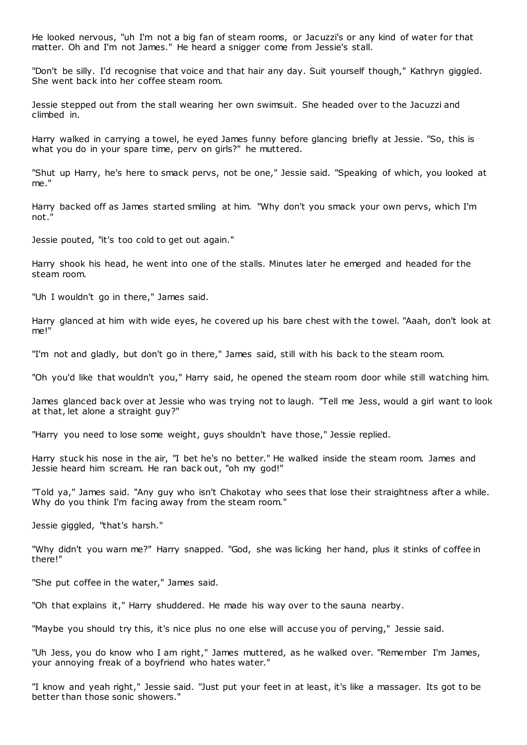He looked nervous, "uh I'm not a big fan of steam rooms, or Jacuzzi's or any kind of water for that matter. Oh and I'm not James." He heard a snigger come from Jessie's stall.

"Don't be silly. I'd recognise that voice and that hair any day. Suit yourself though," Kathryn giggled. She went back into her coffee steam room.

Jessie stepped out from the stall wearing her own swimsuit. She headed over to the Jacuzzi and climbed in.

Harry walked in carrying a towel, he eyed James funny before glancing briefly at Jessie. "So, this is what you do in your spare time, perv on girls?" he muttered.

"Shut up Harry, he's here to smack pervs, not be one," Jessie said. "Speaking of which, you looked at me."

Harry backed off as James started smiling at him. "Why don't you smack your own pervs, which I'm not."

Jessie pouted, "it's too cold to get out again."

Harry shook his head, he went into one of the stalls. Minutes later he emerged and headed for the steam room.

"Uh I wouldn't go in there," James said.

Harry glanced at him with wide eyes, he covered up his bare chest with the t owel. "Aaah, don't look at me!"

"I'm not and gladly, but don't go in there," James said, still with his back to the steam room.

"Oh you'd like that wouldn't you," Harry said, he opened the steam room door while still watching him.

James glanced back over at Jessie who was trying not to laugh. "Tell me Jess, would a girl want to look at that, let alone a straight guy?"

"Harry you need to lose some weight, guys shouldn't have those," Jessie replied.

Harry stuck his nose in the air, "I bet he's no better." He walked inside the steam room. James and Jessie heard him scream. He ran back out, "oh my god!"

"Told ya," James said. "Any guy who isn't Chakotay who sees that lose their straightness after a while. Why do you think I'm facing away from the steam room."

Jessie giggled, "that's harsh."

"Why didn't you warn me?" Harry snapped. "God, she was licking her hand, plus it stinks of coffee in there!"

"She put coffee in the water," James said.

"Oh that explains it," Harry shuddered. He made his way over to the sauna nearby.

"Maybe you should try this, it's nice plus no one else will accuse you of perving," Jessie said.

"Uh Jess, you do know who I am right," James muttered, as he walked over. "Remember I'm James, your annoying freak of a boyfriend who hates water."

"I know and yeah right," Jessie said. "Just put your feet in at least, it's like a massager. Its got to be better than those sonic showers."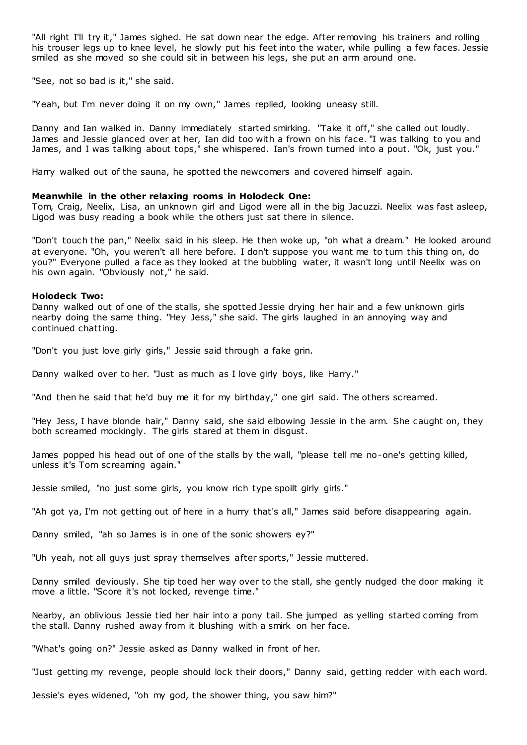"All right I'll try it," James sighed. He sat down near the edge. After removing his trainers and rolling his trouser legs up to knee level, he slowly put his feet into the water, while pulling a few faces. Jessie smiled as she moved so she could sit in between his legs, she put an arm around one.

"See, not so bad is it," she said.

"Yeah, but I'm never doing it on my own," James replied, looking uneasy still.

Danny and Ian walked in. Danny immediately started smirking. "Take it off," she called out loudly. James and Jessie glanced over at her, Ian did too with a frown on his face. "I was talking to you and James, and I was talking about tops," she whispered. Ian's frown turned into a pout. "Ok, just you."

Harry walked out of the sauna, he spotted the newcomers and covered himself again.

### **Meanwhile in the other relaxing rooms in Holodeck One:**

Tom, Craig, Neelix, Lisa, an unknown girl and Ligod were all in the big Jacuzzi. Neelix was fast asleep, Ligod was busy reading a book while the others just sat there in silence.

"Don't touch the pan," Neelix said in his sleep. He then woke up, "oh what a dream." He looked around at everyone. "Oh, you weren't all here before. I don't suppose you want me to turn this thing on, do you?" Everyone pulled a face as they looked at the bubbling water, it wasn't long until Neelix was on his own again. "Obviously not," he said.

#### **Holodeck Two:**

Danny walked out of one of the stalls, she spotted Jessie drying her hair and a few unknown girls nearby doing the same thing. "Hey Jess," she said. The girls laughed in an annoying way and continued chatting.

"Don't you just love girly girls," Jessie said through a fake grin.

Danny walked over to her. "Just as much as I love girly boys, like Harry."

"And then he said that he'd buy me it for my birthday," one girl said. The others screamed.

"Hey Jess, I have blonde hair," Danny said, she said elbowing Jessie in t he arm. She caught on, they both screamed mockingly. The girls stared at them in disgust.

James popped his head out of one of the stalls by the wall, "please tell me no-one's getting killed, unless it's Tom screaming again."

Jessie smiled, "no just some girls, you know rich type spoilt girly girls."

"Ah got ya, I'm not getting out of here in a hurry that's all," James said before disappearing again.

Danny smiled, "ah so James is in one of the sonic showers ey?"

"Uh yeah, not all guys just spray themselves after sports," Jessie muttered.

Danny smiled deviously. She tip toed her way over to the stall, she gently nudged the door making it move a little. "Score it's not locked, revenge time."

Nearby, an oblivious Jessie tied her hair into a pony tail. She jumped as yelling started coming from the stall. Danny rushed away from it blushing with a smirk on her face.

"What's going on?" Jessie asked as Danny walked in front of her.

"Just getting my revenge, people should lock their doors," Danny said, getting redder with each word.

Jessie's eyes widened, "oh my god, the shower thing, you saw him?"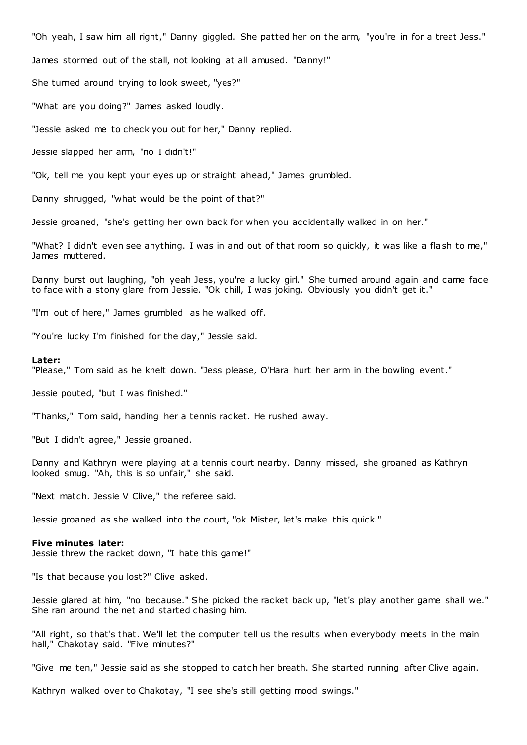"Oh yeah, I saw him all right," Danny giggled. She patted her on the arm, "you're in for a treat Jess."

James stormed out of the stall, not looking at all amused. "Danny!"

She turned around trying to look sweet, "yes?"

"What are you doing?" James asked loudly.

"Jessie asked me to check you out for her," Danny replied.

Jessie slapped her arm, "no I didn't!"

"Ok, tell me you kept your eyes up or straight ahead," James grumbled.

Danny shrugged, "what would be the point of that?"

Jessie groaned, "she's getting her own back for when you accidentally walked in on her."

"What? I didn't even see anything. I was in and out of that room so quickly, it was like a flash to me," James muttered.

Danny burst out laughing, "oh yeah Jess, you're a lucky girl." She turned around again and came face to face with a stony glare from Jessie. "Ok chill, I was joking. Obviously you didn't get it."

"I'm out of here," James grumbled as he walked off.

"You're lucky I'm finished for the day," Jessie said.

#### **Later:**

"Please," Tom said as he knelt down. "Jess please, O'Hara hurt her arm in the bowling event."

Jessie pouted, "but I was finished."

"Thanks," Tom said, handing her a tennis racket. He rushed away.

"But I didn't agree," Jessie groaned.

Danny and Kathryn were playing at a tennis court nearby. Danny missed, she groaned as Kathryn looked smug. "Ah, this is so unfair," she said.

"Next match. Jessie V Clive," the referee said.

Jessie groaned as she walked into the court, "ok Mister, let's make this quick."

#### **Five minutes later:**

Jessie threw the racket down, "I hate this game!"

"Is that because you lost?" Clive asked.

Jessie glared at him, "no because." She picked the racket back up, "let's play another game shall we." She ran around the net and started chasing him.

"All right, so that's that. We'll let the computer tell us the results when everybody meets in the main hall," Chakotay said. "Five minutes?"

"Give me ten," Jessie said as she stopped to catch her breath. She started running after Clive again.

Kathryn walked over to Chakotay, "I see she's still getting mood swings."